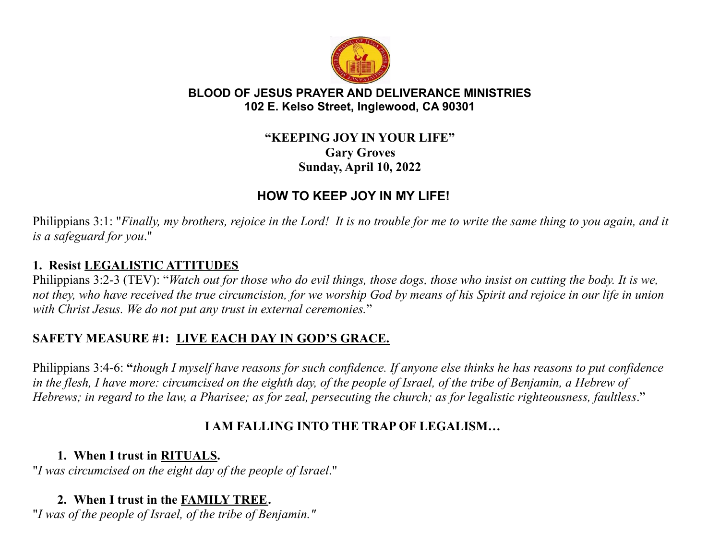

#### **BLOOD OF JESUS PRAYER AND DELIVERANCE MINISTRIES 102 E. Kelso Street, Inglewood, CA 90301**

#### **"KEEPING JOY IN YOUR LIFE" Gary Groves Sunday, April 10, 2022**

# **HOW TO KEEP JOY IN MY LIFE!**

Philippians 3:1: "Finally, my brothers, rejoice in the Lord! It is no trouble for me to write the same thing to you again, and it *is a safeguard for you*."

#### **1. Resist LEGALISTIC ATTITUDES**

Philippians 3:2-3 (TEV): "Watch out for those who do evil things, those dogs, those who insist on cutting the body. It is we, not they, who have received the true circumcision, for we worship God by means of his Spirit and rejoice in our life in union *with Christ Jesus. We do not put any trust in external ceremonies.*"

## **SAFETY MEASURE #1: LIVE EACH DAY IN GOD'S GRACE.**

Philippians 3:4-6: "though I myself have reasons for such confidence. If anyone else thinks he has reasons to put confidence in the flesh, I have more: circumcised on the eighth day, of the people of Israel, of the tribe of Benjamin, a Hebrew of Hebrews; in regard to the law, a Pharisee; as for zeal, persecuting the church; as for legalistic righteousness, faultless."

## **I AM FALLING INTO THE TRAP OF LEGALISM…**

#### **1. When I trust in RITUALS.**

"*I was circumcised on the eight day of the people of Israel*."

# **2. When I trust in the FAMILY TREE.**

"*I was of the people of Israel, of the tribe of Benjamin."*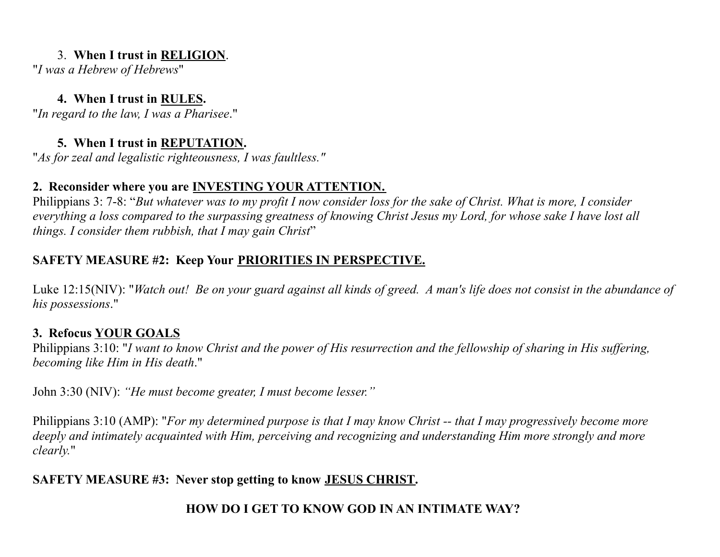#### 3. **When I trust in RELIGION**.

"*I was a Hebrew of Hebrews*"

#### **4. When I trust in RULES.**

"*In regard to the law, I was a Pharisee*."

## **5. When I trust in REPUTATION.**

"*As for zeal and legalistic righteousness, I was faultless."*

## **2. Reconsider where you are INVESTING YOUR ATTENTION.**

Philippians 3: 7-8: "But whatever was to my profit I now consider loss for the sake of Christ. What is more, I consider everything a loss compared to the surpassing greatness of knowing Christ Jesus my Lord, for whose sake I have lost all *things. I consider them rubbish, that I may gain Christ*"

## **SAFETY MEASURE #2: Keep Your PRIORITIES IN PERSPECTIVE.**

Luke 12:15(NIV): "Watch out! Be on your guard against all kinds of greed. A man's life does not consist in the abundance of *his possessions*."

## **3. Refocus YOUR GOALS**

Philippians 3:10: "I want to know Christ and the power of His resurrection and the fellowship of sharing in His suffering, *becoming like Him in His death*."

John 3:30 (NIV): *"He must become greater, I must become lesser."*

Philippians 3:10 (AMP): "For my determined purpose is that I may know Christ -- that I may progressively become more deeply and intimately acquainted with Him, perceiving and recognizing and understanding Him more strongly and more *clearly.*"

## **SAFETY MEASURE #3: Never stop getting to know JESUS CHRIST.**

## **HOW DO I GET TO KNOW GOD IN AN INTIMATE WAY?**